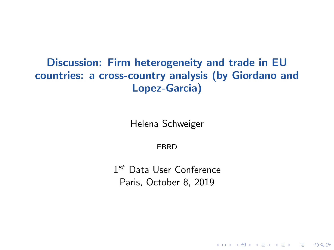#### Discussion: Firm heterogeneity and trade in EU countries: a cross-country analysis (by Giordano and Lopez-Garcia)

Helena Schweiger

**FBRD** 

1<sup>st</sup> Data User Conference Paris, October 8, 2019

KO KA KO KE KA SHARA KA KA KA KA KA KA KA A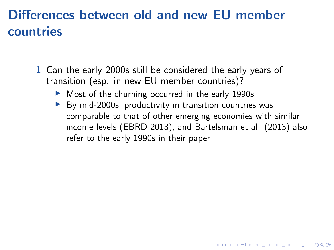## Differences between old and new EU member countries

- 1 Can the early 2000s still be considered the early years of transition (esp. in new EU member countries)?
	- $\triangleright$  Most of the churning occurred in the early 1990s
	- $\triangleright$  By mid-2000s, productivity in transition countries was comparable to that of other emerging economies with similar income levels (EBRD 2013), and Bartelsman et al. (2013) also refer to the early 1990s in their paper

KO KA KO KE KA SHARA KA KA KA KA KA KA KA A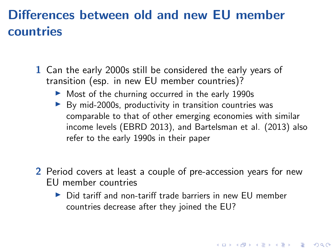## Differences between old and new EU member countries

- 1 Can the early 2000s still be considered the early years of transition (esp. in new EU member countries)?
	- $\triangleright$  Most of the churning occurred in the early 1990s
	- $\triangleright$  By mid-2000s, productivity in transition countries was comparable to that of other emerging economies with similar income levels (EBRD 2013), and Bartelsman et al. (2013) also refer to the early 1990s in their paper
- 2 Period covers at least a couple of pre-accession years for new EU member countries
	- $\triangleright$  Did tariff and non-tariff trade barriers in new EU member countries decrease after they joined the EU?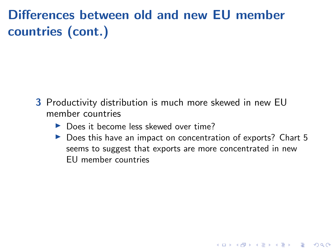# Differences between old and new EU member countries (cont.)

- 3 Productivity distribution is much more skewed in new EU member countries
	- ▶ Does it become less skewed over time?
	- $\triangleright$  Does this have an impact on concentration of exports? Chart 5 seems to suggest that exports are more concentrated in new EU member countries

**KORK ERKER ADAM ADA**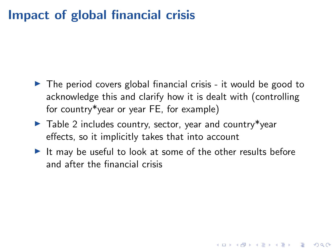### Impact of global financial crisis

- $\triangleright$  The period covers global financial crisis it would be good to acknowledge this and clarify how it is dealt with (controlling for country\*year or year FE, for example)
- $\blacktriangleright$  Table 2 includes country, sector, year and country\*year effects, so it implicitly takes that into account
- $\blacktriangleright$  It may be useful to look at some of the other results before and after the financial crisis

**KORKARYKERKER POLO**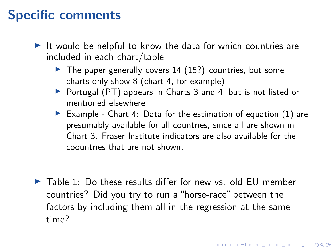### Specific comments

- $\blacktriangleright$  It would be helpful to know the data for which countries are included in each chart/table
	- $\blacktriangleright$  The paper generally covers 14 (15?) countries, but some charts only show 8 (chart 4, for example)
	- ▶ Portugal (PT) appears in Charts 3 and 4, but is not listed or mentioned elsewhere
	- Example Chart 4: Data for the estimation of equation  $(1)$  are presumably available for all countries, since all are shown in Chart 3. Fraser Institute indicators are also available for the coountries that are not shown.

 $\blacktriangleright$  Table 1: Do these results differ for new vs. old EU member countries? Did you try to run a "horse-race" between the factors by including them all in the regression at the same time?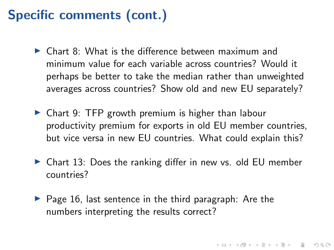# Specific comments (cont.)

- $\triangleright$  Chart 8: What is the difference between maximum and minimum value for each variable across countries? Would it perhaps be better to take the median rather than unweighted averages across countries? Show old and new EU separately?
- $\triangleright$  Chart 9: TFP growth premium is higher than labour productivity premium for exports in old EU member countries, but vice versa in new EU countries. What could explain this?
- $\triangleright$  Chart 13: Does the ranking differ in new vs. old EU member countries?

 $\triangleright$  Page 16, last sentence in the third paragraph: Are the numbers interpreting the results correct?